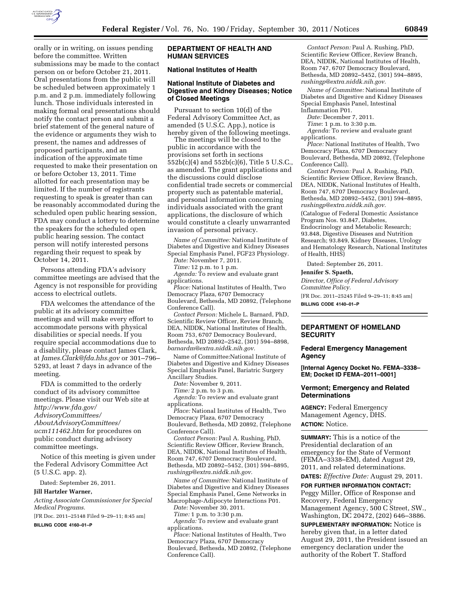

orally or in writing, on issues pending before the committee. Written submissions may be made to the contact person on or before October 21, 2011. Oral presentations from the public will be scheduled between approximately 1 p.m. and 2 p.m. immediately following lunch. Those individuals interested in making formal oral presentations should notify the contact person and submit a brief statement of the general nature of the evidence or arguments they wish to present, the names and addresses of proposed participants, and an indication of the approximate time requested to make their presentation on or before October 13, 2011. Time allotted for each presentation may be limited. If the number of registrants requesting to speak is greater than can be reasonably accommodated during the scheduled open public hearing session, FDA may conduct a lottery to determine the speakers for the scheduled open public hearing session. The contact person will notify interested persons regarding their request to speak by October 14, 2011.

Persons attending FDA's advisory committee meetings are advised that the Agency is not responsible for providing access to electrical outlets.

FDA welcomes the attendance of the public at its advisory committee meetings and will make every effort to accommodate persons with physical disabilities or special needs. If you require special accommodations due to a disability, please contact James Clark, at *[James.Clark@fda.hhs.gov](mailto:James.Clark@fda.hhs.gov)* or 301–796– 5293, at least 7 days in advance of the meeting.

FDA is committed to the orderly conduct of its advisory committee meetings. Please visit our Web site at *[http://www.fda.gov/](http://www.fda.gov/AdvisoryCommittees/AboutAdvisoryCommittees/ucm111462.htm) [AdvisoryCommittees/](http://www.fda.gov/AdvisoryCommittees/AboutAdvisoryCommittees/ucm111462.htm) [AboutAdvisoryCommittees/](http://www.fda.gov/AdvisoryCommittees/AboutAdvisoryCommittees/ucm111462.htm)  [ucm111462.htm](http://www.fda.gov/AdvisoryCommittees/AboutAdvisoryCommittees/ucm111462.htm)* for procedures on public conduct during advisory committee meetings.

Notice of this meeting is given under the Federal Advisory Committee Act (5 U.S.C. app. 2).

Dated: September 26, 2011.

#### **Jill Hartzler Warner,**

*Acting Associate Commissioner for Special Medical Programs.* 

[FR Doc. 2011–25148 Filed 9–29–11; 8:45 am]

**BILLING CODE 4160–01–P** 

## **DEPARTMENT OF HEALTH AND HUMAN SERVICES**

# **National Institutes of Health**

### **National Institute of Diabetes and Digestive and Kidney Diseases; Notice of Closed Meetings**

Pursuant to section 10(d) of the Federal Advisory Committee Act, as amended (5 U.S.C. App.), notice is hereby given of the following meetings.

The meetings will be closed to the public in accordance with the provisions set forth in sections 552b(c)(4) and 552b(c)(6), Title 5 U.S.C., as amended. The grant applications and the discussions could disclose confidential trade secrets or commercial property such as patentable material, and personal information concerning individuals associated with the grant applications, the disclosure of which would constitute a clearly unwarranted invasion of personal privacy.

*Name of Committee:* National Institute of Diabetes and Digestive and Kidney Diseases Special Emphasis Panel, FGF23 Physiology.

*Date:* November 7, 2011.

*Time:* 12 p.m. to 1 p.m.

*Agenda:* To review and evaluate grant applications.

*Place:* National Institutes of Health, Two Democracy Plaza, 6707 Democracy Boulevard, Bethesda, MD 20892, (Telephone Conference Call).

*Contact Person:* Michele L. Barnard, PhD, Scientific Review Officer, Review Branch, DEA, NIDDK, National Institutes of Health, Room 753, 6707 Democracy Boulevard, Bethesda, MD 20892–2542, (301) 594–8898, *[barnardm@extra.niddk.nih.gov.](mailto:barnardm@extra.niddk.nih.gov)* 

Name of Committee:National Institute of Diabetes and Digestive and Kidney Diseases Special Emphasis Panel, Bariatric Surgery Ancillary Studies.

*Date:* November 9, 2011.

*Time:* 2 p.m. to 3 p.m.

*Agenda:* To review and evaluate grant applications.

*Place:* National Institutes of Health, Two Democracy Plaza, 6707 Democracy Boulevard, Bethesda, MD 20892, (Telephone Conference Call).

*Contact Person:* Paul A. Rushing, PhD, Scientific Review Officer, Review Branch, DEA, NIDDK, National Institutes of Health, Room 747, 6707 Democracy Boulevard, Bethesda, MD 20892–5452, (301) 594–8895, *[rushingp@extra.niddk.nih.gov.](mailto:rushingp@extra.niddk.nih.gov)* 

*Name of Committee:* National Institute of Diabetes and Digestive and Kidney Diseases Special Emphasis Panel, Gene Networks in Macrophage-Adipocyte Interactions P01.

*Date:* November 30, 2011.

*Time:* 1 p.m. to 3:30 p.m.

*Agenda:* To review and evaluate grant applications.

*Place:* National Institutes of Health, Two Democracy Plaza, 6707 Democracy Boulevard, Bethesda, MD 20892, (Telephone Conference Call).

*Contact Person:* Paul A. Rushing, PhD, Scientific Review Officer, Review Branch, DEA, NIDDK, National Institutes of Health, Room 747, 6707 Democracy Boulevard, Bethesda, MD 20892–5452, (301) 594–8895, *[rushingp@extra.niddk.nih.gov.](mailto:rushingp@extra.niddk.nih.gov)* 

*Name of Committee:* National Institute of Diabetes and Digestive and Kidney Diseases Special Emphasis Panel, Intestinal Inflammation P01.

*Date:* December 7, 2011.

*Time*: 1 p.m. to 3:30 p.m.

*Agenda:* To review and evaluate grant applications.

*Place:* National Institutes of Health, Two

Democracy Plaza, 6707 Democracy Boulevard, Bethesda, MD 20892, (Telephone Conference Call).

*Contact Person:* Paul A. Rushing, PhD, Scientific Review Officer, Review Branch, DEA, NIDDK, National Institutes of Health, Room 747, 6707 Democracy Boulevard, Bethesda, MD 20892–5452, (301) 594–8895, *[rushingp@extra.niddk.nih.gov.](mailto:rushingp@extra.niddk.nih.gov)* 

(Catalogue of Federal Domestic Assistance Program Nos. 93.847, Diabetes, Endocrinology and Metabolic Research; 93.848, Digestive Diseases and Nutrition Research; 93.849, Kidney Diseases, Urology and Hematology Research, National Institutes of Health, HHS)

Dated: September 26, 2011*.* 

**Jennifer S. Spaeth,** 

*Director, Office of Federal Advisory Committee Policy.* 

[FR Doc. 2011–25245 Filed 9–29–11; 8:45 am] **BILLING CODE 4140–01–P** 

# **DEPARTMENT OF HOMELAND SECURITY**

### **Federal Emergency Management Agency**

**[Internal Agency Docket No. FEMA–3338– EM; Docket ID FEMA–2011–0001]** 

## **Vermont; Emergency and Related Determinations**

**AGENCY:** Federal Emergency Management Agency, DHS. **ACTION:** Notice.

**SUMMARY:** This is a notice of the Presidential declaration of an emergency for the State of Vermont (FEMA–3338–EM), dated August 29, 2011, and related determinations.

**DATES:** *Effective Date:* August 29, 2011.

**FOR FURTHER INFORMATION CONTACT:**  Peggy Miller, Office of Response and Recovery, Federal Emergency Management Agency, 500 C Street, SW., Washington, DC 20472, (202) 646–3886.

**SUPPLEMENTARY INFORMATION:** Notice is hereby given that, in a letter dated August 29, 2011, the President issued an emergency declaration under the authority of the Robert T. Stafford